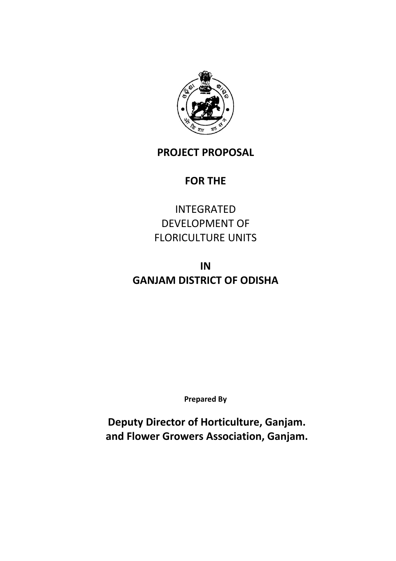

# **PROJECT PROPOSAL**

# **FOR THE**

INTEGRATED DEVELOPMENT OF FLORICULTURE UNITS

# **IN GANJAM DISTRICT OF ODISHA**

**Prepared By**

**Deputy Director of Horticulture, Ganjam. and Flower Growers Association, Ganjam.**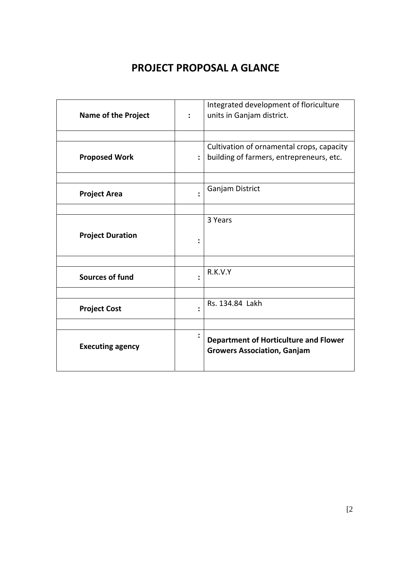# **PROJECT PROPOSAL A GLANCE**

| <b>Name of the Project</b> | $\ddot{\phantom{a}}$ | Integrated development of floriculture<br>units in Ganjam district.                   |
|----------------------------|----------------------|---------------------------------------------------------------------------------------|
|                            |                      |                                                                                       |
| <b>Proposed Work</b>       | $\ddot{\cdot}$       | Cultivation of ornamental crops, capacity<br>building of farmers, entrepreneurs, etc. |
|                            |                      |                                                                                       |
| <b>Project Area</b>        |                      | Ganjam District                                                                       |
|                            |                      |                                                                                       |
|                            |                      | 3 Years                                                                               |
| <b>Project Duration</b>    |                      |                                                                                       |
|                            |                      |                                                                                       |
| <b>Sources of fund</b>     |                      | R.K.V.Y                                                                               |
|                            |                      |                                                                                       |
| <b>Project Cost</b>        |                      | Rs. 134.84 Lakh                                                                       |
|                            |                      |                                                                                       |
| <b>Executing agency</b>    |                      | <b>Department of Horticulture and Flower</b><br><b>Growers Association, Ganjam</b>    |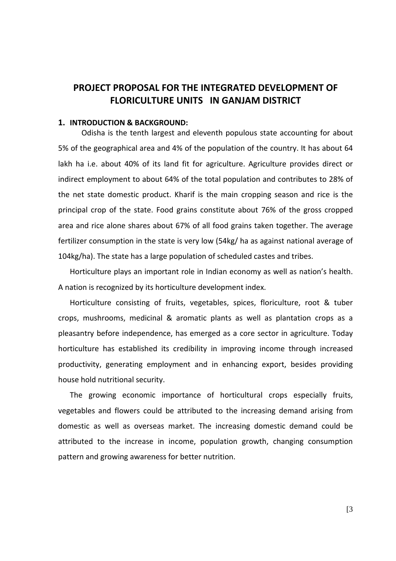# **PROJECT PROPOSAL FOR THE INTEGRATED DEVELOPMENT OF FLORICULTURE UNITS IN GANJAM DISTRICT**

#### **1. INTRODUCTION & BACKGROUND:**

Odisha is the tenth largest and eleventh populous state accounting for about 5% of the geographical area and 4% of the population of the country. It has about 64 lakh ha i.e. about 40% of its land fit for agriculture. Agriculture provides direct or indirect employment to about 64% of the total population and contributes to 28% of the net state domestic product. Kharif is the main cropping season and rice is the principal crop of the state. Food grains constitute about 76% of the gross cropped area and rice alone shares about 67% of all food grains taken together. The average fertilizer consumption in the state is very low (54kg/ ha as against national average of 104kg/ha). The state has a large population of scheduled castes and tribes.

Horticulture plays an important role in Indian economy as well as nation's health. A nation is recognized by its horticulture development index.

Horticulture consisting of fruits, vegetables, spices, floriculture, root & tuber crops, mushrooms, medicinal & aromatic plants as well as plantation crops as a pleasantry before independence, has emerged as a core sector in agriculture. Today horticulture has established its credibility in improving income through increased productivity, generating employment and in enhancing export, besides providing house hold nutritional security.

The growing economic importance of horticultural crops especially fruits, vegetables and flowers could be attributed to the increasing demand arising from domestic as well as overseas market. The increasing domestic demand could be attributed to the increase in income, population growth, changing consumption pattern and growing awareness for better nutrition.

[3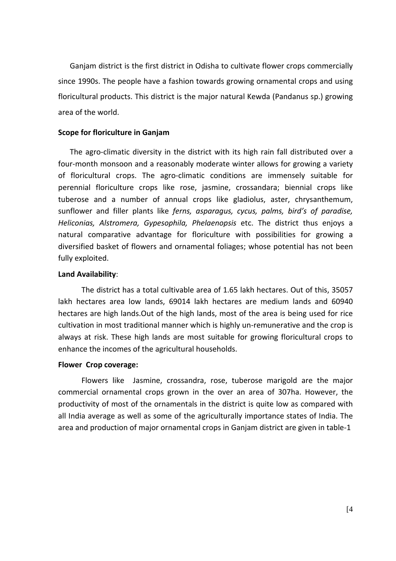Ganjam district is the first district in Odisha to cultivate flower crops commercially since 1990s. The people have a fashion towards growing ornamental crops and using floricultural products. This district is the major natural Kewda (Pandanus sp.) growing area of the world.

#### **Scope for floriculture in Ganjam**

The agro-climatic diversity in the district with its high rain fall distributed over a four-month monsoon and a reasonably moderate winter allows for growing a variety of floricultural crops. The agro‐climatic conditions are immensely suitable for perennial floriculture crops like rose, jasmine, crossandara; biennial crops like tuberose and a number of annual crops like gladiolus, aster, chrysanthemum, sunflower and filler plants like *ferns, asparagus, cycus, palms, bird's of paradise, Heliconias, Alstromera, Gypesophila, Phelaenopsis* etc. The district thus enjoys a natural comparative advantage for floriculture with possibilities for growing a diversified basket of flowers and ornamental foliages; whose potential has not been fully exploited.

#### **Land Availability**:

The district has a total cultivable area of 1.65 lakh hectares. Out of this, 35057 lakh hectares area low lands, 69014 lakh hectares are medium lands and 60940 hectares are high lands.Out of the high lands, most of the area is being used for rice cultivation in most traditional manner which is highly un-remunerative and the crop is always at risk. These high lands are most suitable for growing floricultural crops to enhance the incomes of the agricultural households.

#### **Flower Crop coverage:**

Flowers like Jasmine, crossandra, rose, tuberose marigold are the major commercial ornamental crops grown in the over an area of 307ha. However, the productivity of most of the ornamentals in the district is quite low as compared with all India average as well as some of the agriculturally importance states of India. The area and production of major ornamental crops in Ganjam district are given in table‐1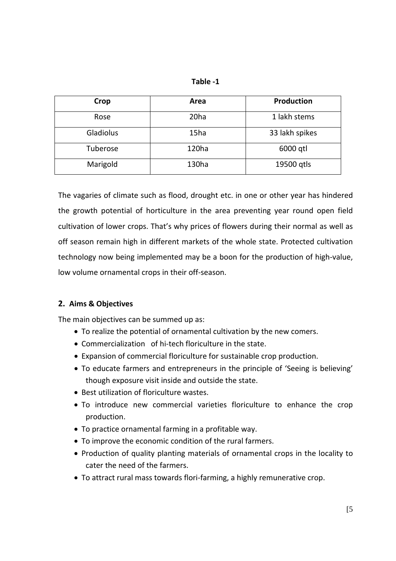| fable |  |
|-------|--|
|       |  |

| Crop      | Area             | <b>Production</b> |
|-----------|------------------|-------------------|
| Rose      | 20 <sub>ha</sub> | 1 lakh stems      |
| Gladiolus | 15ha             | 33 lakh spikes    |
| Tuberose  | 120ha            | 6000 gtl          |
| Marigold  | 130ha            | 19500 gtls        |

The vagaries of climate such as flood, drought etc. in one or other year has hindered the growth potential of horticulture in the area preventing year round open field cultivation of lower crops. That's why prices of flowers during their normal as well as off season remain high in different markets of the whole state. Protected cultivation technology now being implemented may be a boon for the production of high‐value, low volume ornamental crops in their off‐season.

# **2. Aims & Objectives**

The main objectives can be summed up as:

- To realize the potential of ornamental cultivation by the new comers.
- Commercialization of hi-tech floriculture in the state.
- Expansion of commercial floriculture for sustainable crop production.
- To educate farmers and entrepreneurs in the principle of 'Seeing is believing' though exposure visit inside and outside the state.
- Best utilization of floriculture wastes.
- To introduce new commercial varieties floriculture to enhance the crop production.
- To practice ornamental farming in a profitable way.
- To improve the economic condition of the rural farmers.
- Production of quality planting materials of ornamental crops in the locality to cater the need of the farmers.
- To attract rural mass towards flori‐farming, a highly remunerative crop.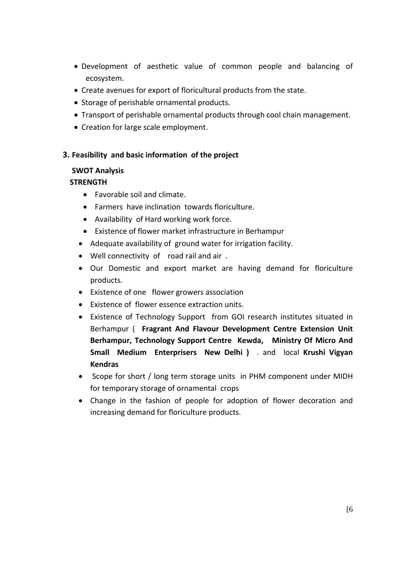- Development of aesthetic value of common people and balancing of ecosystem.
- Create avenues for export of floricultural products from the state.
- Storage of perishable ornamental products.
- Transport of perishable ornamental products through cool chain management.
- Creation for large scale employment.

#### **3. Feasibility and basic information of the project**

#### **SWOT Analysis**

#### **STRENGTH**

- Favorable soil and climate.
- Farmers have inclination towards floriculture.
- Availability of Hard working work force.
- Existence of flower market infrastructure in Berhampur
- Adequate availability of ground water for irrigation facility.
- Well connectivity of road rail and air .
- Our Domestic and export market are having demand for floriculture products.
- Existence of one flower growers association
- Existence of flower essence extraction units.
- Existence of Technology Support from GOI research institutes situated in Berhampur ( **Fragrant And Flavour Development Centre Extension Unit Berhampur, Technology Support Centre Kewda, Ministry Of Micro And Small Medium Enterprisers New Delhi )** . and local **Krushi Vigyan Kendras**
- Scope for short / long term storage units in PHM component under MIDH for temporary storage of ornamental crops
- Change in the fashion of people for adoption of flower decoration and increasing demand for floriculture products.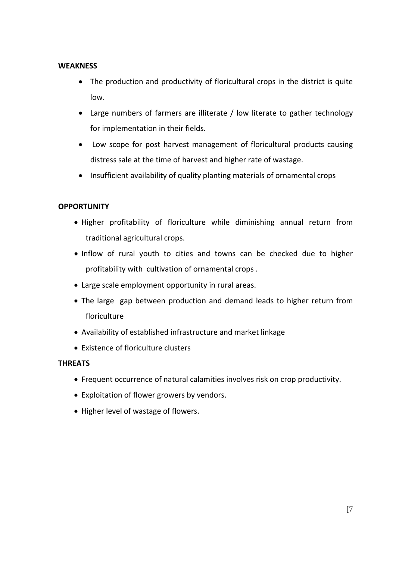#### **WEAKNESS**

- The production and productivity of floricultural crops in the district is quite low.
- Large numbers of farmers are illiterate / low literate to gather technology for implementation in their fields.
- Low scope for post harvest management of floricultural products causing distress sale at the time of harvest and higher rate of wastage.
- Insufficient availability of quality planting materials of ornamental crops

# **OPPORTUNITY**

- Higher profitability of floriculture while diminishing annual return from traditional agricultural crops.
- Inflow of rural youth to cities and towns can be checked due to higher profitability with cultivation of ornamental crops .
- Large scale employment opportunity in rural areas.
- The large gap between production and demand leads to higher return from floriculture
- Availability of established infrastructure and market linkage
- Existence of floriculture clusters

# **THREATS**

- Frequent occurrence of natural calamities involves risk on crop productivity.
- Exploitation of flower growers by vendors.
- Higher level of wastage of flowers.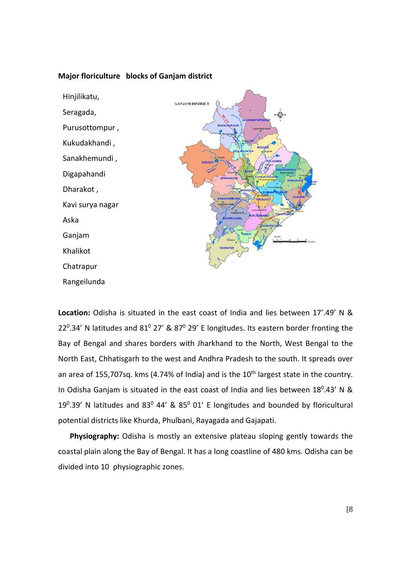



**Location:** Odisha is situated in the east coast of India and lies between 17'.49' N & 22<sup>0</sup>.34' N latitudes and 81<sup>0</sup> 27' & 87<sup>0</sup> 29' E longitudes. Its eastern border fronting the Bay of Bengal and shares borders with Jharkhand to the North, West Bengal to the North East, Chhatisgarh to the west and Andhra Pradesh to the south. It spreads over an area of 155,707sq. kms (4.74% of India) and is the  $10<sup>th</sup>$  largest state in the country. In Odisha Ganjam is situated in the east coast of India and lies between  $18^0.43'$  N & 19 $0.39'$  N latitudes and 83 $0$  44' & 85 $0$  01' E longitudes and bounded by floricultural potential districts like Khurda, Phulbani, Rayagada and Gajapati.

**Physiography:** Odisha is mostly an extensive plateau sloping gently towards the coastal plain along the Bay of Bengal. It has a long coastline of 480 kms. Odisha can be divided into 10 physiographic zones.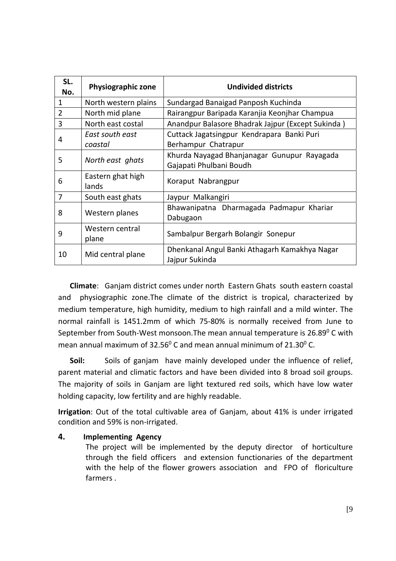| SL.<br>No.     | <b>Physiographic zone</b>  | <b>Undivided districts</b>                           |
|----------------|----------------------------|------------------------------------------------------|
| $\mathbf{1}$   | North western plains       | Sundargad Banaigad Panposh Kuchinda                  |
| $\overline{2}$ | North mid plane            | Rairangpur Baripada Karanjia Keonjhar Champua        |
| 3              | North east costal          | Anandpur Balasore Bhadrak Jajpur (Except Sukinda)    |
| 4              | East south east            | Cuttack Jagatsingpur Kendrapara Banki Puri           |
|                | coastal                    | Berhampur Chatrapur                                  |
| 5              | North east ghats           | Khurda Nayagad Bhanjanagar Gunupur Rayagada          |
|                |                            | Gajapati Phulbani Boudh                              |
| 6              | Eastern ghat high<br>lands | Koraput Nabrangpur                                   |
| 7              | South east ghats           | Jaypur Malkangiri                                    |
| 8              | Western planes             | Bhawanipatna Dharmagada Padmapur Khariar<br>Dabugaon |
| 9              | Western central<br>plane   | Sambalpur Bergarh Bolangir Sonepur                   |
| 10             | Mid central plane          | Dhenkanal Angul Banki Athagarh Kamakhya Nagar        |
|                |                            | Jajpur Sukinda                                       |

**Climate**: Ganjam district comes under north Eastern Ghats south eastern coastal and physiographic zone. The climate of the district is tropical, characterized by medium temperature, high humidity, medium to high rainfall and a mild winter. The normal rainfall is 1451.2mm of which 75‐80% is normally received from June to September from South-West monsoon. The mean annual temperature is  $26.89^{\circ}$  C with mean annual maximum of  $32.56^{\circ}$  C and mean annual minimum of  $21.30^{\circ}$  C.

**Soil:** Soils of ganjam have mainly developed under the influence of relief, parent material and climatic factors and have been divided into 8 broad soil groups. The majority of soils in Ganjam are light textured red soils, which have low water holding capacity, low fertility and are highly readable.

**Irrigation**: Out of the total cultivable area of Ganjam, about 41% is under irrigated condition and 59% is non‐irrigated.

# **4. Implementing Agency**

The project will be implemented by the deputy director of horticulture through the field officers and extension functionaries of the department with the help of the flower growers association and FPO of floriculture farmers .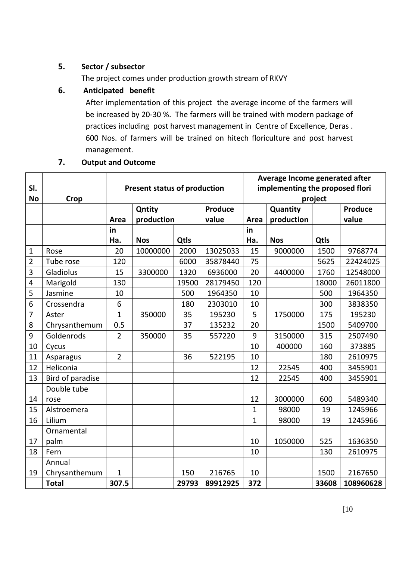# **5. Sector / subsector**

The project comes under production growth stream of RKVY

# **6. Anticipated benefit**

After implementation of this project the average income of the farmers will be increased by 20‐30 %. The farmers will be trained with modern package of practices including post harvest management in Centre of Excellence, Deras . 600 Nos. of farmers will be trained on hitech floriculture and post harvest management.

# **7. Output and Outcome**

|                  |                  |                 |                                     |         |          | Average Income generated after |                                 |                |           |  |
|------------------|------------------|-----------------|-------------------------------------|---------|----------|--------------------------------|---------------------------------|----------------|-----------|--|
| SI.              |                  |                 | <b>Present status of production</b> |         |          |                                | implementing the proposed flori |                |           |  |
| <b>No</b>        | Crop             |                 |                                     |         |          |                                |                                 | project        |           |  |
|                  |                  |                 | Qntity                              | Produce |          | Quantity                       |                                 | <b>Produce</b> |           |  |
|                  |                  | Area            | production                          |         | value    | Area                           | production                      |                | value     |  |
|                  |                  | in              |                                     |         |          | in                             |                                 |                |           |  |
|                  |                  | Ha.             | <b>Nos</b>                          | Qtls    |          | Ha.                            | <b>Nos</b>                      | Qtls           |           |  |
| $\mathbf 1$      | Rose             | 20              | 10000000                            | 2000    | 13025033 | 15                             | 9000000                         | 1500           | 9768774   |  |
| $\overline{2}$   | Tube rose        | 120             |                                     | 6000    | 35878440 | 75                             |                                 | 5625           | 22424025  |  |
| $\overline{3}$   | Gladiolus        | 15              | 3300000                             | 1320    | 6936000  | 20                             | 4400000                         | 1760           | 12548000  |  |
| $\pmb{4}$        | Marigold         | 130             |                                     | 19500   | 28179450 | 120                            |                                 | 18000          | 26011800  |  |
| 5                | Jasmine          | 10              |                                     | 500     | 1964350  | 10                             |                                 | 500            | 1964350   |  |
| 6                | Crossendra       | $6\phantom{1}6$ |                                     | 180     | 2303010  | 10                             |                                 | 300            | 3838350   |  |
| $\overline{7}$   | Aster            | $\mathbf{1}$    | 350000                              | 35      | 195230   | 5                              | 1750000                         | 175            | 195230    |  |
| 8                | Chrysanthemum    | 0.5             |                                     | 37      | 135232   | 20                             |                                 | 1500           | 5409700   |  |
| $\boldsymbol{9}$ | Goldenrods       | $\overline{2}$  | 350000                              | 35      | 557220   | 9                              | 3150000                         | 315            | 2507490   |  |
| 10               | Cycus            |                 |                                     |         |          | 10                             | 400000                          | 160            | 373885    |  |
| 11               | Asparagus        | $\overline{2}$  |                                     | 36      | 522195   | 10                             |                                 | 180            | 2610975   |  |
| 12               | Heliconia        |                 |                                     |         |          | 12                             | 22545                           | 400            | 3455901   |  |
| 13               | Bird of paradise |                 |                                     |         |          | 12                             | 22545                           | 400            | 3455901   |  |
|                  | Double tube      |                 |                                     |         |          |                                |                                 |                |           |  |
| 14               | rose             |                 |                                     |         |          | 12                             | 3000000                         | 600            | 5489340   |  |
| 15               | Alstroemera      |                 |                                     |         |          | $\mathbf{1}$                   | 98000                           | 19             | 1245966   |  |
| 16               | Lilium           |                 |                                     |         |          | $\mathbf{1}$                   | 98000                           | 19             | 1245966   |  |
|                  | Ornamental       |                 |                                     |         |          |                                |                                 |                |           |  |
| 17               | palm             |                 |                                     |         |          | 10                             | 1050000                         | 525            | 1636350   |  |
| 18               | Fern             |                 |                                     |         |          | 10                             |                                 | 130            | 2610975   |  |
|                  | Annual           |                 |                                     |         |          |                                |                                 |                |           |  |
| 19               | Chrysanthemum    | $\mathbf{1}$    |                                     | 150     | 216765   | 10                             |                                 | 1500           | 2167650   |  |
|                  | <b>Total</b>     | 307.5           |                                     | 29793   | 89912925 | 372                            |                                 | 33608          | 108960628 |  |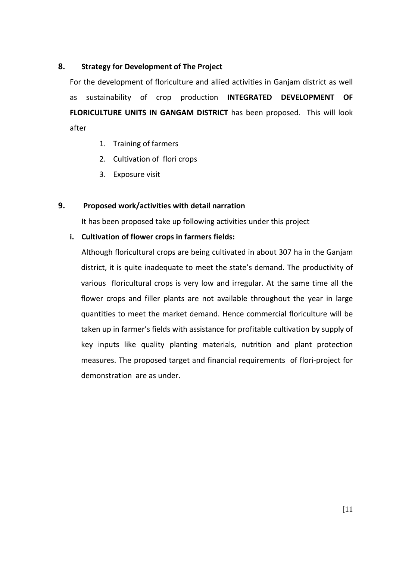#### **8. Strategy for Development of The Project**

For the development of floriculture and allied activities in Ganjam district as well as sustainability of crop production **INTEGRATED DEVELOPMENT OF FLORICULTURE UNITS IN GANGAM DISTRICT** has been proposed. This will look after

- 1. Training of farmers
- 2. Cultivation of flori crops
- 3. Exposure visit

# **9. Proposed work/activities with detail narration**

It has been proposed take up following activities under this project

#### **i. Cultivation of flower crops in farmers fields:**

Although floricultural crops are being cultivated in about 307 ha in the Ganjam district, it is quite inadequate to meet the state's demand. The productivity of various floricultural crops is very low and irregular. At the same time all the flower crops and filler plants are not available throughout the year in large quantities to meet the market demand. Hence commercial floriculture will be taken up in farmer's fields with assistance for profitable cultivation by supply of key inputs like quality planting materials, nutrition and plant protection measures. The proposed target and financial requirements of flori‐project for demonstration are as under.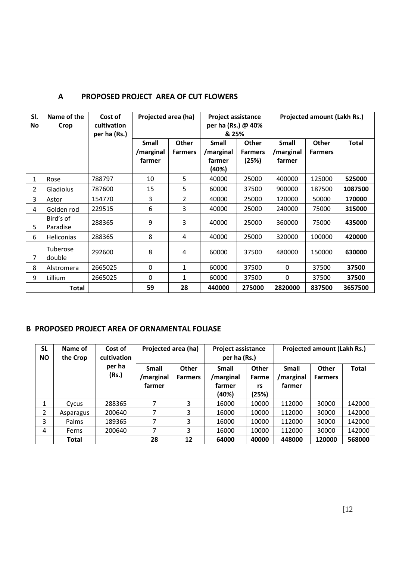| SI.<br>No      | Name of the<br>Crop   | Cost of<br>cultivation<br>per ha (Rs.) | Projected area (ha)          |                                | <b>Project assistance</b><br>per ha (Rs.) @ 40%<br>& 25% |                                         | <b>Projected amount (Lakh Rs.)</b>  |                         |              |  |
|----------------|-----------------------|----------------------------------------|------------------------------|--------------------------------|----------------------------------------------------------|-----------------------------------------|-------------------------------------|-------------------------|--------------|--|
|                |                       |                                        | Small<br>/marginal<br>farmer | <b>Other</b><br><b>Farmers</b> | <b>Small</b><br>/marginal<br>farmer<br>(40%)             | <b>Other</b><br><b>Farmers</b><br>(25%) | <b>Small</b><br>/marginal<br>farmer | Other<br><b>Farmers</b> | <b>Total</b> |  |
| 1              | Rose                  | 788797                                 | 10                           | 5                              | 40000                                                    | 25000                                   | 400000                              | 125000                  | 525000       |  |
| $\overline{2}$ | <b>Gladiolus</b>      | 787600                                 | 15                           | 5                              | 60000                                                    | 37500                                   | 900000                              | 187500                  | 1087500      |  |
| 3              | Astor                 | 154770                                 | 3                            | 2                              | 40000                                                    | 25000                                   | 120000                              | 50000                   | 170000       |  |
| 4              | Golden rod            | 229515                                 | 6                            | 3                              | 40000                                                    | 25000                                   | 240000                              | 75000                   | 315000       |  |
| 5              | Bird's of<br>Paradise | 288365                                 | 9                            | 3                              | 40000                                                    | 25000                                   | 360000                              | 75000                   | 435000       |  |
| 6              | <b>Heliconias</b>     | 288365                                 | 8                            | 4                              | 40000                                                    | 25000                                   | 320000                              | 100000                  | 420000       |  |
| 7              | Tuberose<br>double    | 292600                                 | 8                            | 4                              | 60000                                                    | 37500                                   | 480000                              | 150000                  | 630000       |  |
| 8              | Alstromera            | 2665025                                | $\Omega$                     | $\mathbf{1}$                   | 60000                                                    | 37500                                   | $\Omega$                            | 37500                   | 37500        |  |
| 9              | Lillium               | 2665025                                | $\Omega$                     | 1                              | 60000                                                    | 37500                                   | $\Omega$                            | 37500                   | 37500        |  |
|                | <b>Total</b>          |                                        | 59                           | 28                             | 440000                                                   | 275000                                  | 2820000                             | 837500                  | 3657500      |  |

# **A PROPOSED PROJECT AREA OF CUT FLOWERS**

# **B PROPOSED PROJECT AREA OF ORNAMENTAL FOLIASE**

| <b>SL</b><br><b>NO</b> | Name of<br>the Crop | Cost of<br>cultivation | Projected area (ha)          |                                | <b>Project assistance</b><br>per ha (Rs.) |                                      | Projected amount (Lakh Rs.)         |                                |              |  |
|------------------------|---------------------|------------------------|------------------------------|--------------------------------|-------------------------------------------|--------------------------------------|-------------------------------------|--------------------------------|--------------|--|
|                        |                     | per ha<br>(Rs.)        | Small<br>/marginal<br>farmer | <b>Other</b><br><b>Farmers</b> | Small<br>/marginal<br>farmer<br>(40%)     | <b>Other</b><br>Farme<br>rs<br>(25%) | <b>Small</b><br>/marginal<br>farmer | <b>Other</b><br><b>Farmers</b> | <b>Total</b> |  |
|                        | Cycus               | 288365                 | 7                            | 3                              | 16000                                     | 10000                                | 112000                              | 30000                          | 142000       |  |
| 2                      | Asparagus           | 200640                 |                              | 3                              | 16000                                     | 10000                                | 112000                              | 30000                          | 142000       |  |
| 3                      | Palms               | 189365                 | 7                            | 3                              | 16000                                     | 10000                                | 112000                              | 30000                          | 142000       |  |
| 4                      | Ferns               | 200640                 | 7                            | 3                              | 16000                                     | 10000                                | 112000                              | 30000                          | 142000       |  |
|                        | <b>Total</b>        |                        | 28                           | 12                             | 64000                                     | 40000                                | 448000                              | 120000                         | 568000       |  |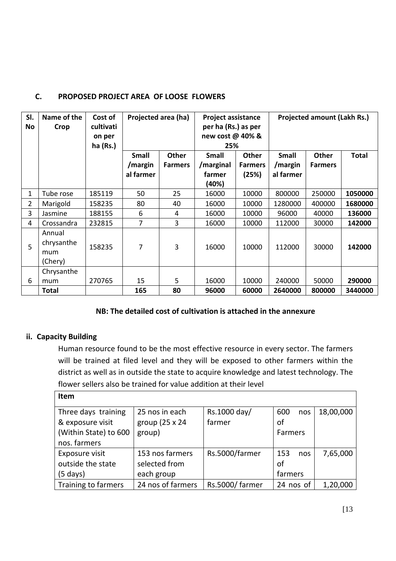| SI.<br>No      | Name of the<br>Crop                    | Cost of<br>cultivati<br>on per<br>$ha$ (Rs.) | Projected area (ha)                  |                                | <b>Project assistance</b><br>per ha (Rs.) as per<br>new cost @ 40% &<br>25% |                                         | <b>Projected amount (Lakh Rs.)</b>   |                                |              |
|----------------|----------------------------------------|----------------------------------------------|--------------------------------------|--------------------------------|-----------------------------------------------------------------------------|-----------------------------------------|--------------------------------------|--------------------------------|--------------|
|                |                                        |                                              | <b>Small</b><br>/margin<br>al farmer | <b>Other</b><br><b>Farmers</b> | <b>Small</b><br>/marginal<br>farmer<br>(40%)                                | <b>Other</b><br><b>Farmers</b><br>(25%) | <b>Small</b><br>/margin<br>al farmer | <b>Other</b><br><b>Farmers</b> | <b>Total</b> |
| 1              | Tube rose                              | 185119                                       | 50                                   | 25                             | 16000                                                                       | 10000                                   | 800000                               | 250000                         | 1050000      |
| $\overline{2}$ | Marigold                               | 158235                                       | 80                                   | 40                             | 16000                                                                       | 10000                                   | 1280000                              | 400000                         | 1680000      |
| 3              | Jasmine                                | 188155                                       | 6                                    | 4                              | 16000                                                                       | 10000                                   | 96000                                | 40000                          | 136000       |
| 4              | Crossandra                             | 232815                                       | 7                                    | 3                              | 16000                                                                       | 10000                                   | 112000                               | 30000                          | 142000       |
| 5              | Annual<br>chrysanthe<br>mum<br>(Chery) | 158235                                       | 7                                    | 3                              | 16000                                                                       | 10000                                   | 112000                               | 30000                          | 142000       |
| 6              | Chrysanthe<br>mum                      | 270765                                       | 15                                   | 5                              | 16000                                                                       | 10000                                   | 240000                               | 50000                          | 290000       |
|                | Total                                  |                                              | 165                                  | 80                             | 96000                                                                       | 60000                                   | 2640000                              | 800000                         | 3440000      |

# **C. PROPOSED PROJECT AREA OF LOOSE FLOWERS**

# **NB: The detailed cost of cultivation is attached in the annexure**

# **ii. Capacity Building**

Human resource found to be the most effective resource in every sector. The farmers will be trained at filed level and they will be exposed to other farmers within the district as well as in outside the state to acquire knowledge and latest technology. The flower sellers also be trained for value addition at their level

| <b>Item</b>           |                   |                |                |           |
|-----------------------|-------------------|----------------|----------------|-----------|
| Three days training   | 25 nos in each    | Rs.1000 day/   | 600<br>nos     | 18,00,000 |
| & exposure visit      | group (25 x 24    | farmer         | οf             |           |
| (Within State) to 600 | group)            |                | <b>Farmers</b> |           |
| nos. farmers          |                   |                |                |           |
| Exposure visit        | 153 nos farmers   | Rs.5000/farmer | 153<br>nos     | 7,65,000  |
| outside the state     | selected from     |                | οf             |           |
| (5 days)              | each group        |                | farmers        |           |
| Training to farmers   | 24 nos of farmers | Rs.5000/farmer | 24 nos of      | 1,20,000  |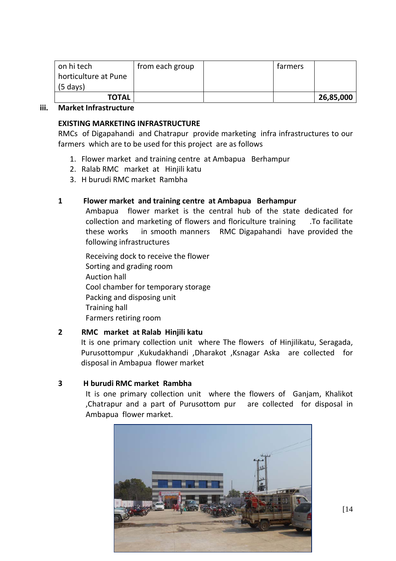| on hi tech           | from each group | farmers |           |
|----------------------|-----------------|---------|-----------|
| horticulture at Pune |                 |         |           |
| $(5 \text{ days})$   |                 |         |           |
| <b>TOTAL</b>         |                 |         | 26,85,000 |

#### **iii. Market Infrastructure**

#### **EXISTING MARKETING INFRASTRUCTURE**

RMCs of Digapahandi and Chatrapur provide marketing infra infrastructures to our farmers which are to be used for this project are as follows

- 1. Flower market and training centre at Ambapua Berhampur
- 2. Ralab RMC market at Hiniili katu
- 3. H burudi RMC market Rambha

#### **1 Flower market and training centre at Ambapua Berhampur**

Ambapua flower market is the central hub of the state dedicated for collection and marketing of flowers and floriculture training .To facilitate these works in smooth manners RMC Digapahandi have provided the following infrastructures

Receiving dock to receive the flower Sorting and grading room Auction hall Cool chamber for temporary storage Packing and disposing unit Training hall Farmers retiring room

#### **2 RMC market at Ralab Hinjili katu**

It is one primary collection unit where The flowers of Hinjilikatu, Seragada, Purusottompur ,Kukudakhandi ,Dharakot ,Ksnagar Aska are collected for disposal in Ambapua flower market

#### **3 H burudi RMC market Rambha**

It is one primary collection unit where the flowers of Ganjam, Khalikot ,Chatrapur and a part of Purusottom pur are collected for disposal in Ambapua flower market.

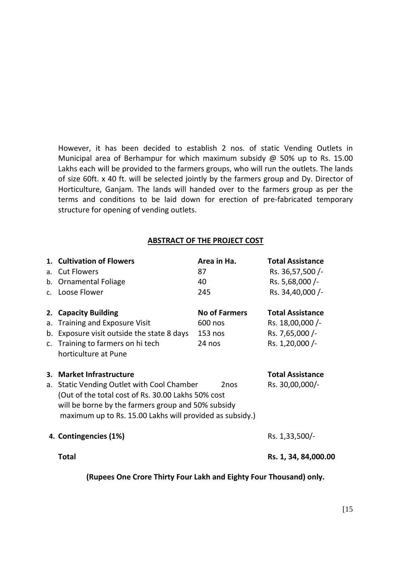However, it has been decided to establish 2 nos. of static Vending Outlets in Municipal area of Berhampur for which maximum subsidy @ 50% up to Rs. 15.00 Lakhs each will be provided to the farmers groups, who will run the outlets. The lands of size 60ft. x 40 ft. will be selected jointly by the farmers group and Dy. Director of Horticulture, Ganjam. The lands will handed over to the farmers group as per the terms and conditions to be laid down for erection of pre‐fabricated temporary structure for opening of vending outlets.

#### **ABSTRACT OF THE PROJECT COST**

|    | 1. Cultivation of Flowers                                | Area in Ha.          | <b>Total Assistance</b> |  |  |
|----|----------------------------------------------------------|----------------------|-------------------------|--|--|
|    | a. Cut Flowers                                           | 87                   | Rs. 36,57,500 /-        |  |  |
|    | b. Ornamental Foliage                                    | 40                   | Rs. 5,68,000/-          |  |  |
|    | c. Loose Flower                                          | 245                  | Rs. 34,40,000 /-        |  |  |
|    | 2. Capacity Building                                     | <b>No of Farmers</b> | <b>Total Assistance</b> |  |  |
| a. | <b>Training and Exposure Visit</b>                       | 600 nos              | Rs. 18,00,000 /-        |  |  |
|    | b. Exposure visit outside the state 8 days               | $153$ nos            | Rs. 7,65,000 /-         |  |  |
|    | c. Training to farmers on hi tech                        | 24 nos               | Rs. 1,20,000 /-         |  |  |
|    | horticulture at Pune                                     |                      |                         |  |  |
| 3. | <b>Market Infrastructure</b>                             |                      | <b>Total Assistance</b> |  |  |
|    | a. Static Vending Outlet with Cool Chamber               | 2 <sub>nos</sub>     | Rs. 30,00,000/-         |  |  |
|    | (Out of the total cost of Rs. 30.00 Lakhs 50% cost       |                      |                         |  |  |
|    | will be borne by the farmers group and 50% subsidy       |                      |                         |  |  |
|    | maximum up to Rs. 15.00 Lakhs will provided as subsidy.) |                      |                         |  |  |
|    | 4. Contingencies (1%)                                    |                      | Rs. 1,33,500/-          |  |  |
|    | <b>Total</b>                                             |                      | Rs. 1, 34, 84,000.00    |  |  |
|    |                                                          |                      |                         |  |  |

**(Rupees One Crore Thirty Four Lakh and Eighty Four Thousand) only.**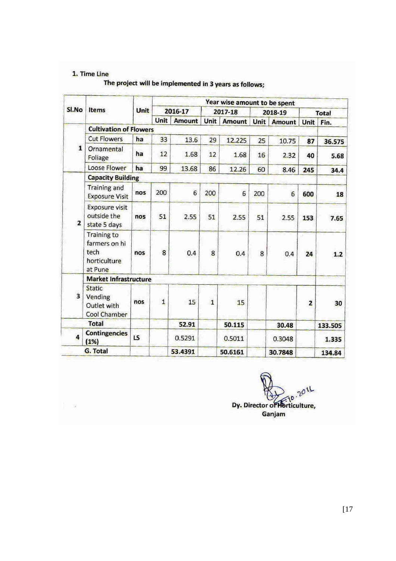#### 1. Time Line

| The project will be implemented in 3 years as follows: |  |  |  |  |  |  |  |  |  |  |  |  |  |
|--------------------------------------------------------|--|--|--|--|--|--|--|--|--|--|--|--|--|
|--------------------------------------------------------|--|--|--|--|--|--|--|--|--|--|--|--|--|

| SI.No                   | <b>Items</b>                                                           | Unit | Year wise amount to be spent |                 |                |               |         |         |                         |              |
|-------------------------|------------------------------------------------------------------------|------|------------------------------|-----------------|----------------|---------------|---------|---------|-------------------------|--------------|
|                         |                                                                        |      | 2016-17                      |                 | 2017-18        |               | 2018-19 |         |                         | <b>Total</b> |
|                         |                                                                        |      | Unit                         | <b>Amount</b>   | <b>Unit</b>    | <b>Amount</b> | Unit    | Amount  | Unit                    | Fin.         |
|                         | <b>Cultivation of Flowers</b>                                          |      |                              |                 |                |               |         |         |                         |              |
| $\mathbf{1}$            | <b>Cut Flowers</b>                                                     | ha   | 33                           | 13.6            | 29             | 12.225        | 25      | 10.75   | 87                      | 36.575       |
|                         | Ornamental<br>Foliage                                                  | ha   | 12                           | 1.68            | 12             | 1.68          | 16      | 2.32    | 40                      | 5.68         |
|                         | <b>Loose Flower</b>                                                    | ha   | 99                           | 13.68           | 86             | 12.26         | 60      | 8.46    | 245                     | 34.4         |
|                         | <b>Capacity Building</b>                                               |      |                              |                 |                |               |         |         |                         |              |
| $\overline{\mathbf{z}}$ | <b>Training and</b><br><b>Exposure Visit</b>                           | nos  | 200                          | $6\overline{6}$ | 200            | 6             | 200     | 6       | 600                     | 18           |
|                         | <b>Exposure visit</b><br>outside the<br>state 5 days                   | nos  | 51                           | 2.55            | 51             | 2.55          | 51      | 2.55    | 153                     | 7.65         |
|                         | <b>Training to</b><br>farmers on hi<br>tech<br>horticulture<br>at Pune | nos  | 8                            | 0.4             | 8              | 0.4           | 8       | 0.4     | 24                      | 1.2          |
|                         | <b>Market Infrastructure</b>                                           |      |                              |                 |                |               |         |         |                         |              |
| 3                       | <b>Static</b><br>Vending<br>Outlet with<br>Cool Chamber                | nos  | $\overline{1}$               | 15              | $\overline{1}$ | 15            |         |         | $\overline{\mathbf{z}}$ | 30           |
|                         | <b>Total</b>                                                           |      |                              | 52.91           |                | 50.115        |         | 30.48   |                         | 133.505      |
| 4                       | <b>Contingencies</b><br>(1%)                                           | LS   |                              | 0.5291          |                | 0.5011        |         | 0.3048  |                         | 1.335        |
|                         | G. Total                                                               |      |                              | 53.4391         |                | 50.6161       |         | 30.7848 |                         | 134.84       |

2011 Dy. Director of Horticulture, Ganjam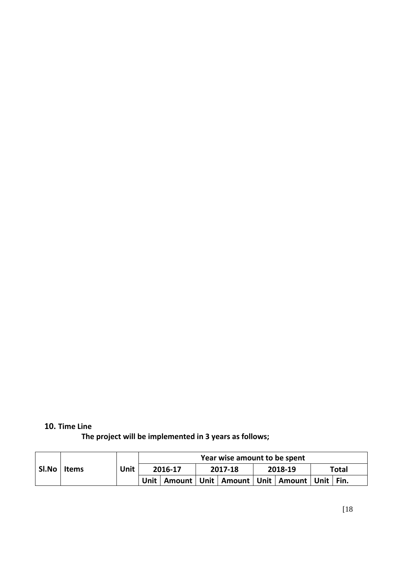# **10. Time Line**

**The project will be implemented in 3 years as follows;**

| SI.No | <b>Items</b> | Unit | Year wise amount to be spent |  |         |  |         |                                                             |       |
|-------|--------------|------|------------------------------|--|---------|--|---------|-------------------------------------------------------------|-------|
|       |              |      | 2016-17                      |  | 2017-18 |  | 2018-19 |                                                             | Total |
|       |              |      |                              |  |         |  |         | Unit   Amount   Unit   Amount   Unit   Amount   Unit   Fin. |       |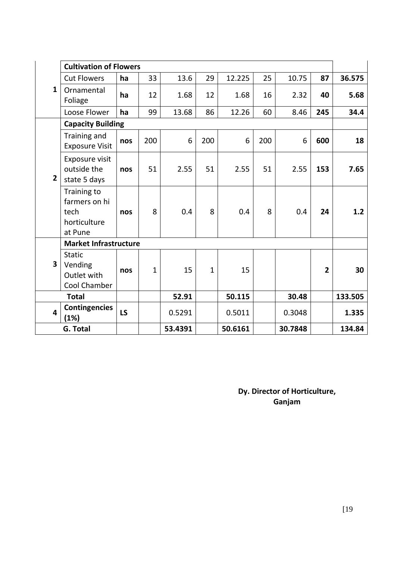| $\mathbf{1}$            | <b>Cultivation of Flowers</b>                                   |     |              |         |              |         |     |         |                |         |
|-------------------------|-----------------------------------------------------------------|-----|--------------|---------|--------------|---------|-----|---------|----------------|---------|
|                         | <b>Cut Flowers</b>                                              | ha  | 33           | 13.6    | 29           | 12.225  | 25  | 10.75   | 87             | 36.575  |
|                         | Ornamental<br>Foliage                                           | ha  | 12           | 1.68    | 12           | 1.68    | 16  | 2.32    | 40             | 5.68    |
|                         | Loose Flower                                                    | ha  | 99           | 13.68   | 86           | 12.26   | 60  | 8.46    | 245            | 34.4    |
|                         | <b>Capacity Building</b>                                        |     |              |         |              |         |     |         |                |         |
|                         | Training and<br><b>Exposure Visit</b>                           | nos | 200          | 6       | 200          | 6       | 200 | 6       | 600            | 18      |
| $\overline{2}$          | Exposure visit<br>outside the<br>state 5 days                   | nos | 51           | 2.55    | 51           | 2.55    | 51  | 2.55    | 153            | 7.65    |
|                         | Training to<br>farmers on hi<br>tech<br>horticulture<br>at Pune | nos | 8            | 0.4     | 8            | 0.4     | 8   | 0.4     | 24             | 1.2     |
|                         | <b>Market Infrastructure</b>                                    |     |              |         |              |         |     |         |                |         |
| 3                       | <b>Static</b><br>Vending<br>Outlet with<br>Cool Chamber         | nos | $\mathbf{1}$ | 15      | $\mathbf{1}$ | 15      |     |         | $\overline{2}$ | 30      |
|                         | <b>Total</b>                                                    |     |              | 52.91   |              | 50.115  |     | 30.48   |                | 133.505 |
| $\overline{\mathbf{4}}$ | <b>Contingencies</b><br>(1%)                                    | LS  |              | 0.5291  |              | 0.5011  |     | 0.3048  |                | 1.335   |
|                         | <b>G. Total</b>                                                 |     |              | 53.4391 |              | 50.6161 |     | 30.7848 |                | 134.84  |

**Dy. Director of Horticulture, Ganjam**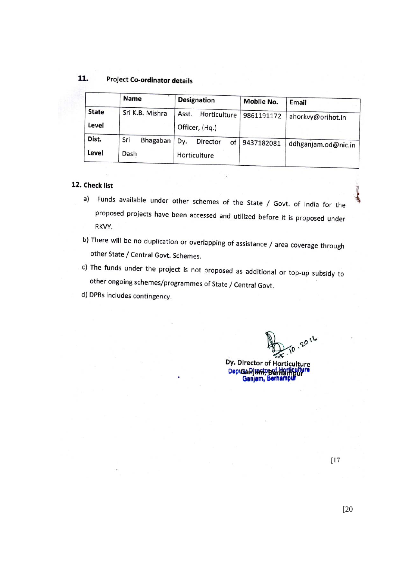#### 11. **Project Co-ordinator details**

|                       | Name            | <b>Designation</b>                      | Mobile No. | Email<br>ahorkvy@orihot.in |  |
|-----------------------|-----------------|-----------------------------------------|------------|----------------------------|--|
| <b>State</b><br>Level | Sri K.B. Mishra | Asst.<br>Horticulture<br>Officer, (Hq.) | 9861191172 |                            |  |
| Dist.                 | Sri<br>Bhagaban | Dy.<br>Director<br>of                   | 9437182081 | ddhganjam.od@nic.in        |  |
| Level                 | Dash            | Horticulture                            |            |                            |  |

#### 12. Check list

a) Funds available under other schemes of the State / Govt. of India for the proposed projects have been accessed and utilized before it is proposed under RKVY.

b) There will be no duplication or overlapping of assistance / area coverage through other State / Central Govt. Schemes.

c) The funds under the project is not proposed as additional or top-up subsidy to other ongoing schemes/programmes of State / Central Govt.

d) DPRs includes contingency.

TO 2016

Dy. Director of Horticulture Deputa Ricario Ber Harticulture

 $[17]$